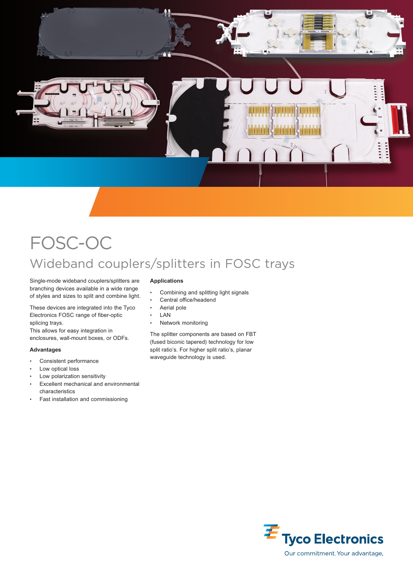

# FOSC-OC Wideband couplers/splitters in FOSC trays

Single-mode wideband couplers/splitters are branching devices available in a wide range of styles and sizes to split and combine light.

These devices are integrated into the Tyco Electronics FOSC range of fiber-optic splicing trays.

This allows for easy integration in enclosures, wall-mount boxes, or ODFs.

#### **Advantages**

- Consistent performance
- Low optical loss
- Low polarization sensitivity
- Excellent mechanical and environmental characteristics
- Fast installation and commissioning

#### **Applications**

- Combining and splitting light signals
- Central office/headend
- Aerial pole
- LAN
- Network monitoring

The splitter components are based on FBT (fused biconic tapered) technology for low split ratio's. For higher split ratio's, planar waveguide technology is used.